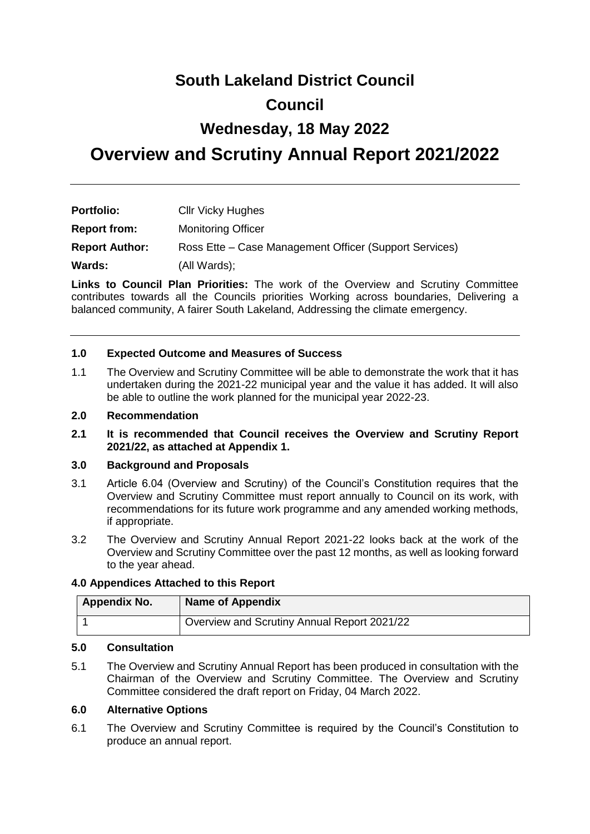## **South Lakeland District Council**

## **Council**

## **Wednesday, 18 May 2022**

# **Overview and Scrutiny Annual Report 2021/2022**

| <b>Portfolio:</b>     | <b>Cllr Vicky Hughes</b>                               |
|-----------------------|--------------------------------------------------------|
| <b>Report from:</b>   | <b>Monitoring Officer</b>                              |
| <b>Report Author:</b> | Ross Ette – Case Management Officer (Support Services) |
| Wards:                | (All Wards);                                           |

**Links to Council Plan Priorities:** The work of the Overview and Scrutiny Committee contributes towards all the Councils priorities Working across boundaries, Delivering a balanced community, A fairer South Lakeland, Addressing the climate emergency.

#### **1.0 Expected Outcome and Measures of Success**

1.1 The Overview and Scrutiny Committee will be able to demonstrate the work that it has undertaken during the 2021-22 municipal year and the value it has added. It will also be able to outline the work planned for the municipal year 2022-23.

#### **2.0 Recommendation**

**2.1 It is recommended that Council receives the Overview and Scrutiny Report 2021/22, as attached at Appendix 1.**

#### **3.0 Background and Proposals**

- 3.1 Article 6.04 (Overview and Scrutiny) of the Council's Constitution requires that the Overview and Scrutiny Committee must report annually to Council on its work, with recommendations for its future work programme and any amended working methods, if appropriate.
- 3.2 The Overview and Scrutiny Annual Report 2021-22 looks back at the work of the Overview and Scrutiny Committee over the past 12 months, as well as looking forward to the year ahead.

#### **4.0 Appendices Attached to this Report**

| <b>Appendix No.</b> | <b>Name of Appendix</b>                     |
|---------------------|---------------------------------------------|
|                     | Overview and Scrutiny Annual Report 2021/22 |

### **5.0 Consultation**

5.1 The Overview and Scrutiny Annual Report has been produced in consultation with the Chairman of the Overview and Scrutiny Committee. The Overview and Scrutiny Committee considered the draft report on Friday, 04 March 2022.

#### **6.0 Alternative Options**

6.1 The Overview and Scrutiny Committee is required by the Council's Constitution to produce an annual report.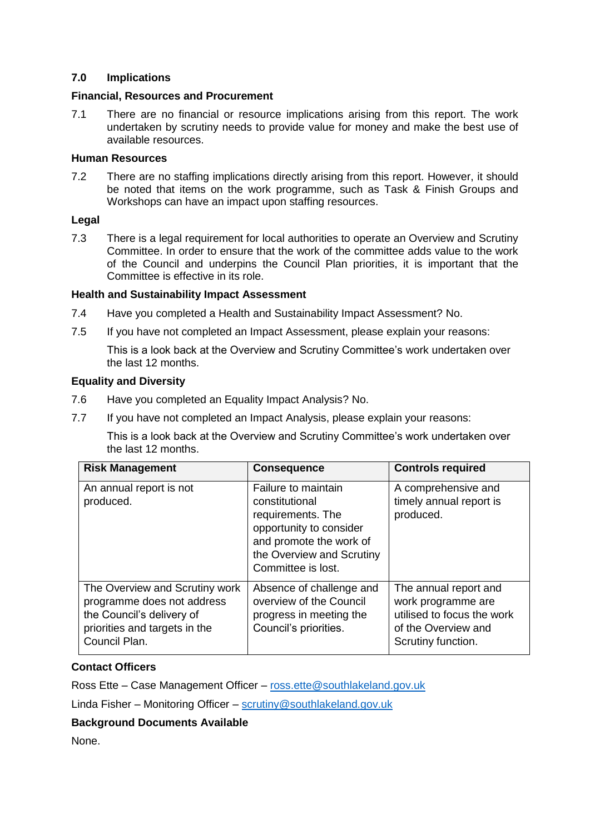#### **7.0 Implications**

#### **Financial, Resources and Procurement**

7.1 There are no financial or resource implications arising from this report. The work undertaken by scrutiny needs to provide value for money and make the best use of available resources.

#### **Human Resources**

7.2 There are no staffing implications directly arising from this report. However, it should be noted that items on the work programme, such as Task & Finish Groups and Workshops can have an impact upon staffing resources.

#### **Legal**

7.3 There is a legal requirement for local authorities to operate an Overview and Scrutiny Committee. In order to ensure that the work of the committee adds value to the work of the Council and underpins the Council Plan priorities, it is important that the Committee is effective in its role.

#### **Health and Sustainability Impact Assessment**

- 7.4 Have you completed a Health and Sustainability Impact Assessment? No.
- 7.5 If you have not completed an Impact Assessment, please explain your reasons:

This is a look back at the Overview and Scrutiny Committee's work undertaken over the last 12 months.

#### **Equality and Diversity**

- 7.6 Have you completed an Equality Impact Analysis? No.
- 7.7 If you have not completed an Impact Analysis, please explain your reasons:

This is a look back at the Overview and Scrutiny Committee's work undertaken over the last 12 months.

| <b>Risk Management</b>                                                                                                                      | <b>Consequence</b>                                                                                                                                                  | <b>Controls required</b>                                                                                               |
|---------------------------------------------------------------------------------------------------------------------------------------------|---------------------------------------------------------------------------------------------------------------------------------------------------------------------|------------------------------------------------------------------------------------------------------------------------|
| An annual report is not<br>produced.                                                                                                        | Failure to maintain<br>constitutional<br>requirements. The<br>opportunity to consider<br>and promote the work of<br>the Overview and Scrutiny<br>Committee is lost. | A comprehensive and<br>timely annual report is<br>produced.                                                            |
| The Overview and Scrutiny work<br>programme does not address<br>the Council's delivery of<br>priorities and targets in the<br>Council Plan. | Absence of challenge and<br>overview of the Council<br>progress in meeting the<br>Council's priorities.                                                             | The annual report and<br>work programme are<br>utilised to focus the work<br>of the Overview and<br>Scrutiny function. |

### **Contact Officers**

Ross Ette – Case Management Officer – [ross.ette@southlakeland.gov.uk](mailto:ross.ette@southlakeland.gov.uk)

Linda Fisher – Monitoring Officer – [scrutiny@southlakeland.gov.uk](mailto:scrutiny@southlakeland.gov.uk)

### **Background Documents Available**

None.